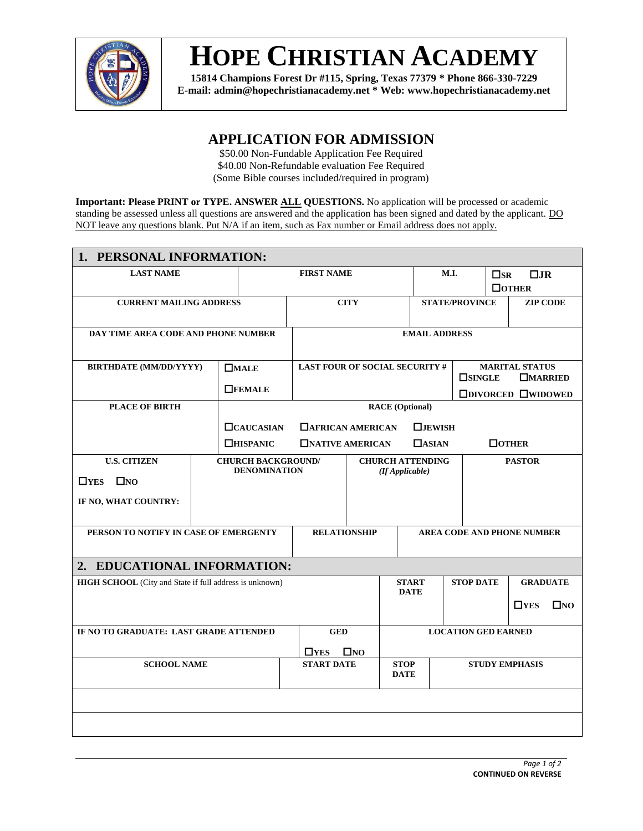

# **HOPE CHRISTIAN ACADEMY**

**15814 Champions Forest Dr #115, Spring, Texas 77379 \* Phone 866-330-7229 E-mail: admin@hopechristianacademy.net \* Web: www.hopechristianacademy.net**

### **APPLICATION FOR ADMISSION**

\$50.00 Non-Fundable Application Fee Required \$40.00 Non-Refundable evaluation Fee Required (Some Bible courses included/required in program)

**Important: Please PRINT or TYPE. ANSWER ALL QUESTIONS.** No application will be processed or academic standing be assessed unless all questions are answered and the application has been signed and dated by the applicant. DO NOT leave any questions blank. Put N/A if an item, such as Fax number or Email address does not apply.

| 1. PERSONAL INFORMATION:                                       |                            |                                                  |                                            |                                           |                            |                                   |                       |                                                          |                           |                 |
|----------------------------------------------------------------|----------------------------|--------------------------------------------------|--------------------------------------------|-------------------------------------------|----------------------------|-----------------------------------|-----------------------|----------------------------------------------------------|---------------------------|-----------------|
| <b>LAST NAME</b>                                               |                            |                                                  | <b>FIRST NAME</b>                          |                                           |                            | M.I.                              |                       |                                                          | $\Box$ JR<br>$\square$ SR |                 |
|                                                                |                            |                                                  |                                            |                                           |                            |                                   |                       |                                                          | $\Box$ OTHER              |                 |
| <b>CURRENT MAILING ADDRESS</b>                                 |                            |                                                  | <b>CITY</b>                                |                                           |                            | <b>STATE/PROVINCE</b>             |                       |                                                          | <b>ZIP CODE</b>           |                 |
| DAY TIME AREA CODE AND PHONE NUMBER                            |                            |                                                  | <b>EMAIL ADDRESS</b>                       |                                           |                            |                                   |                       |                                                          |                           |                 |
| <b>BIRTHDATE (MM/DD/YYYY)</b>                                  |                            | $\square$ MALE                                   | <b>LAST FOUR OF SOCIAL SECURITY #</b>      |                                           |                            |                                   | <b>MARITAL STATUS</b> |                                                          |                           |                 |
|                                                                |                            | $\Box$ <b>FEMALE</b>                             |                                            |                                           |                            |                                   |                       | $\square$ SINGLE<br>$\Box$ MARRIED<br>□DIVORCED □WIDOWED |                           |                 |
| <b>PLACE OF BIRTH</b>                                          |                            |                                                  | <b>RACE (Optional)</b>                     |                                           |                            |                                   |                       |                                                          |                           |                 |
|                                                                |                            | <b>CAUCASIAN</b>                                 |                                            | <b>TAFRICAN AMERICAN</b><br>$\Box$ JEWISH |                            |                                   |                       |                                                          |                           |                 |
| <b>THISPANIC</b>                                               |                            |                                                  | <b>NATIVE AMERICAN</b>                     |                                           |                            | $\Box$ ASIAN                      | $\Box$ <b>OTHER</b>   |                                                          |                           |                 |
| <b>U.S. CITIZEN</b>                                            |                            | <b>CHURCH BACKGROUND/</b><br><b>DENOMINATION</b> | <b>CHURCH ATTENDING</b><br>(If Applicable) |                                           |                            | <b>PASTOR</b>                     |                       |                                                          |                           |                 |
| $\Box$ YES $\Box$ NO                                           |                            |                                                  |                                            |                                           |                            |                                   |                       |                                                          |                           |                 |
| IF NO, WHAT COUNTRY:                                           |                            |                                                  |                                            |                                           |                            |                                   |                       |                                                          |                           |                 |
| PERSON TO NOTIFY IN CASE OF EMERGENTY                          |                            |                                                  | <b>RELATIONSHIP</b>                        |                                           |                            | <b>AREA CODE AND PHONE NUMBER</b> |                       |                                                          |                           |                 |
| 2. EDUCATIONAL INFORMATION:                                    |                            |                                                  |                                            |                                           |                            |                                   |                       |                                                          |                           |                 |
| <b>HIGH SCHOOL</b> (City and State if full address is unknown) |                            |                                                  | <b>START</b><br><b>DATE</b>                |                                           |                            |                                   | <b>STOP DATE</b>      |                                                          |                           | <b>GRADUATE</b> |
|                                                                |                            |                                                  |                                            |                                           |                            |                                   | $\Box$ YES            | $\square$ NO                                             |                           |                 |
| IF NO TO GRADUATE: LAST GRADE ATTENDED                         |                            |                                                  | <b>GED</b>                                 |                                           |                            | <b>LOCATION GED EARNED</b>        |                       |                                                          |                           |                 |
|                                                                | $\Box$ YES<br>$\square$ NO |                                                  |                                            |                                           |                            |                                   |                       |                                                          |                           |                 |
| <b>SCHOOL NAME</b>                                             |                            |                                                  | <b>START DATE</b>                          |                                           | <b>STOP</b><br><b>DATE</b> | <b>STUDY EMPHASIS</b>             |                       |                                                          |                           |                 |
|                                                                |                            |                                                  |                                            |                                           |                            |                                   |                       |                                                          |                           |                 |
|                                                                |                            |                                                  |                                            |                                           |                            |                                   |                       |                                                          |                           |                 |
|                                                                |                            |                                                  |                                            |                                           |                            |                                   |                       |                                                          |                           |                 |